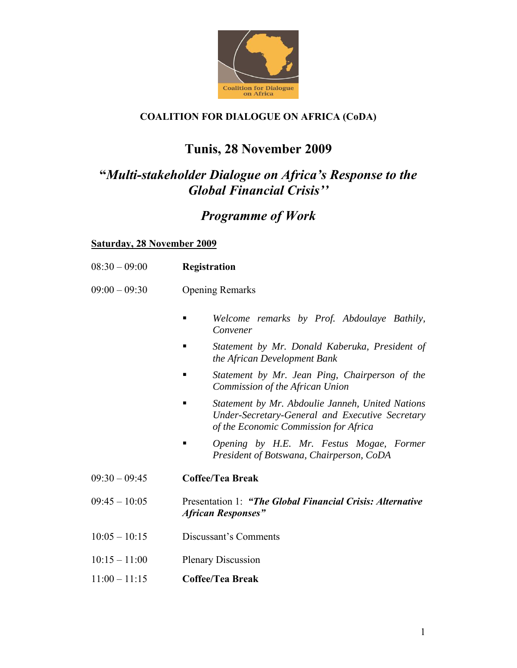

## **COALITION FOR DIALOGUE ON AFRICA (CoDA)**

# **Tunis, 28 November 2009**

# **"***Multi-stakeholder Dialogue on Africa's Response to the Global Financial Crisis''*

## *Programme of Work*

#### **Saturday, 28 November 2009**

| $08:30 - 09:00$ | <b>Registration</b> |
|-----------------|---------------------|
|                 |                     |

- 09:00 09:30 Opening Remarks
	- *Welcome remarks by Prof. Abdoulaye Bathily, Convener*
	- *Statement by Mr. Donald Kaberuka, President of the African Development Bank*
	- *Statement by Mr. Jean Ping, Chairperson of the Commission of the African Union*
	- *Statement by Mr. Abdoulie Janneh, United Nations Under-Secretary-General and Executive Secretary of the Economic Commission for Africa*
	- *Opening by H.E. Mr. Festus Mogae, Former President of Botswana, Chairperson, CoDA*
- 09:30 09:45 **Coffee/Tea Break**
- 09:45 10:05 Presentation 1: *"The Global Financial Crisis: Alternative African Responses"*
- 10:05 10:15 Discussant's Comments
- 10:15 11:00 Plenary Discussion
- 11:00 11:15 **Coffee/Tea Break**